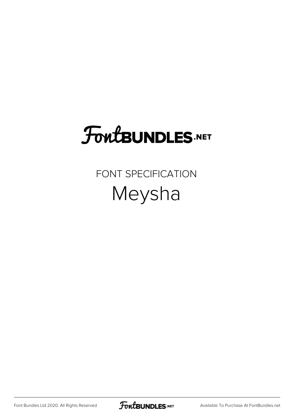## **FoutBUNDLES.NET**

FONT SPECIFICATION Meysha

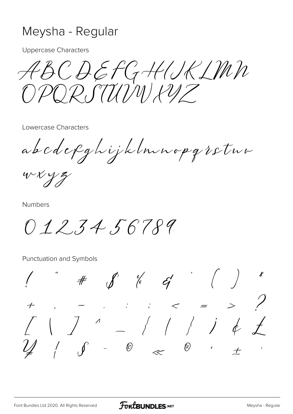## Meysha - Regular

**Uppercase Characters** 

ABCDEFGHIRIMN POR.STIMINIPUZ

Lowercase Characters

abcdefghijklnnopgretun

 $WXYZ$ 

**Numbers** 

 $012.34.56789$ 

**Punctuation and Symbols** 

 $\# \qquad \oint \qquad \frac{6}{6} \qquad \frac{6}{6} \qquad \qquad \frac{1}{6} \qquad \qquad \left($  $\begin{array}{ccccccc} \mathcal{L} & & \mathcal{I} & & \mathcal{I} & & \mathcal{I} & & \mathcal{I} & \mathcal{I} & \mathcal{I} & \mathcal{I} & \mathcal{I} & & \mathcal{I} & \mathcal{I} & & \mathcal{I} & \mathcal{I} & & \mathcal{I} & \mathcal{I} & & \mathcal{I} & & \mathcal{I} & & \mathcal{I} & & \mathcal{I} & & \mathcal{I} & & \mathcal{I} & & \mathcal{I} & & \mathcal{I} & & \mathcal{I} & & \mathcal{I} & & \mathcal{I} & & \mathcal{I} & & \mathcal$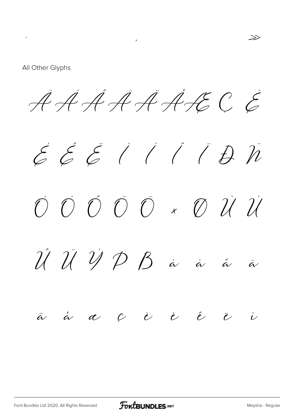All Other Glyphs

 $\mathcal{L}(\mathcal{L}^{\text{max}})$  and  $\mathcal{L}(\mathcal{L}^{\text{max}})$ 

AAAAAAECE

 $\mathcal{E} \mathcal{E} \mathcal{E}$  ( ( ( D  $\tilde{n}$  $\begin{array}{ccc} \mathcal{O} & \mathcal{O} & \mathcal{O} & \mathcal{O} & \mathcal{O} & \mathcal{A} & \mathcal{O} & \mathcal{O} \end{array}$  $\hat{\mathcal{U}}\ \hat{\mathcal{U}}\ \hat{\mathcal{V}}\ \hat{\mathcal{D}}\ \beta\ \dot{\mathcal{Z}}$  $\dot{\alpha}$  $\hat{a}$  $\ddot{\alpha}$   $\dot{\alpha}$   $\alpha$  $\hat{e}$  $\dot{e}$   $\dot{e}$  $\mathcal{C}$  $\ddot{\ell}$  $\dot{v}$ 

 $\gg$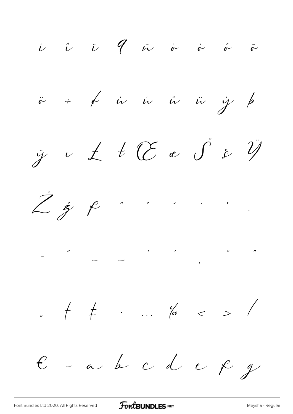i î ji qui viva î v  $\ddot{r}$  +  $\not{r}$  is is is is j  $\not{p}$  $\ddot{y}$   $\vee$   $\measuredangle$   $\vee$   $\heartsuit$   $\heartsuit$   $\phi$   $\phi$ Žž R . . . . . .  $+$  +  $+$   $\cdot$   $\cdot$   $\frac{6}{100}$   $<$   $>$  /  $E$  - a b c d e  $f$  g